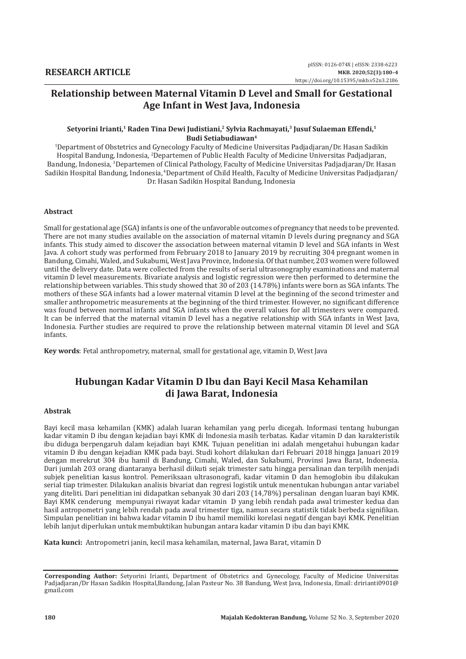# **Relationship between Maternal Vitamin D Level and Small for Gestational Age Infant in West Java, Indonesia**

#### Setyorini Irianti,<sup>1</sup> Raden Tina Dewi Judistiani,<sup>2</sup> Sylvia Rachmayati,<sup>3</sup> Jusuf Sulaeman Effendi,<sup>1</sup> **Budi Setiabudiawan4**

1 Department of Obstetrics and Gynecology Faculty of Medicine Universitas Padjadjaran/Dr. Hasan Sadikin Hospital Bandung, Indonesia, <sup>2</sup> Departemen of Public Health Faculty of Medicine Universitas Padjadjaran, Bandung, Indonesia, <sup>3</sup>Departemen of Clinical Pathology, Faculty of Medicine Universitas Padjadjaran/Dr. Hasan Sadikin Hospital Bandung, Indonesia, <sup>4</sup>Department of Child Health, Faculty of Medicine Universitas Padjadjaran/ Dr. Hasan Sadikin Hospital Bandung, Indonesia

#### **Abstract**

Small for gestational age (SGA) infants is one of the unfavorable outcomes of pregnancy that needs to be prevented. There are not many studies available on the association of maternal vitamin D levels during pregnancy and SGA infants. This study aimed to discover the association between maternal vitamin D level and SGA infants in West Java. A cohort study was performed from February 2018 to January 2019 by recruiting 304 pregnant women in Bandung, Cimahi, Waled, and Sukabumi, West Java Province, Indonesia. Of that number, 203 women were followed until the delivery date. Data were collected from the results of serial ultrasonography examinations and maternal vitamin D level measurements. Bivariate analysis and logistic regression were then performed to determine the relationship between variables. This study showed that 30 of 203 (14.78%) infants were born as SGA infants. The mothers of these SGA infants had a lower maternal vitamin D level at the beginning of the second trimester and smaller anthropometric measurements at the beginning of the third trimester. However, no significant difference was found between normal infants and SGA infants when the overall values for all trimesters were compared. It can be inferred that the maternal vitamin D level has a negative relationship with SGA infants in West Java, Indonesia. Further studies are required to prove the relationship between maternal vitamin Dl level and SGA infants.

**Key words**: Fetal anthropometry, maternal, small for gestational age, vitamin D, West Java

# **Hubungan Kadar Vitamin D Ibu dan Bayi Kecil Masa Kehamilan di Jawa Barat, Indonesia**

#### **Abstrak**

Bayi kecil masa kehamilan (KMK) adalah luaran kehamilan yang perlu dicegah. Informasi tentang hubungan kadar vitamin D ibu dengan kejadian bayi KMK di Indonesia masih terbatas. Kadar vitamin D dan karakteristik ibu diduga berpengaruh dalam kejadian bayi KMK. Tujuan penelitian ini adalah mengetahui hubungan kadar vitamin D ibu dengan kejadian KMK pada bayi. Studi kohort dilakukan dari Februari 2018 hingga Januari 2019 dengan merekrut 304 ibu hamil di Bandung, Cimahi, Waled, dan Sukabumi, Provinsi Jawa Barat, Indonesia. Dari jumlah 203 orang diantaranya berhasil diikuti sejak trimester satu hingga persalinan dan terpilih menjadi subjek penelitian kasus kontrol. Pemeriksaan ultrasonografi, kadar vitamin D dan hemoglobin ibu dilakukan serial tiap trimester. Dilakukan analisis bivariat dan regresi logistik untuk menentukan hubungan antar variabel yang diteliti. Dari penelitian ini didapatkan sebanyak 30 dari 203 (14,78%) persalinan dengan luaran bayi KMK. Bayi KMK cenderung mempunyai riwayat kadar vitamin D yang lebih rendah pada awal trimester kedua dan hasil antropometri yang lebih rendah pada awal trimester tiga, namun secara statistik tidak berbeda signifikan. Simpulan penelitian ini bahwa kadar vitamin D ibu hamil memiliki korelasi negatif dengan bayi KMK. Penelitian lebih lanjut diperlukan untuk membuktikan hubungan antara kadar vitamin D ibu dan bayi KMK.

**Kata kunci:** Antropometri janin, kecil masa kehamilan, maternal, Jawa Barat, vitamin D

**Corresponding Author:** Setyorini Irianti, Department of Obstetrics and Gynecology, Faculty of Medicine Universitas Padjadjaran/Dr Hasan Sadikin Hospital,Bandung, Jalan Pasteur No. 38 Bandung, West Java, Indonesia, Email: dririanti0901@ gmail.com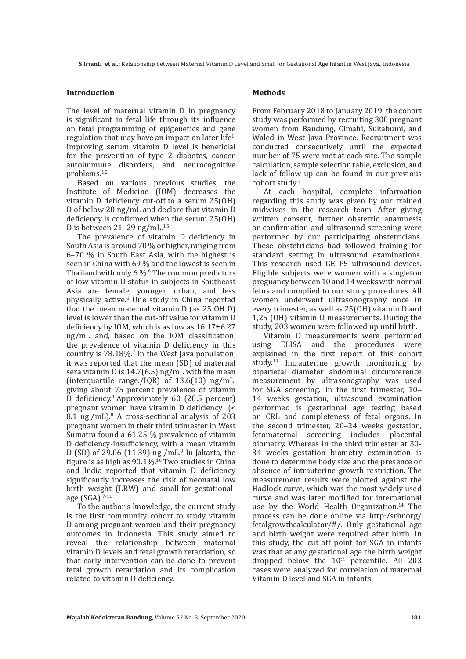**S Irianti et al.:** Relationship between Maternal Vitamin D Level and Small for Gestational Age Infant in West Java,, Indonesia

#### **Introduction**

The level of maternal vitamin D in pregnancy is significant in fetal life through its influence on fetal programming of epigenetics and gene regulation that may have an impact on later life<sup>1</sup>. Improving serum vitamin D level is beneficial for the prevention of type 2 diabetes, cancer, autoimmune disorders, and neurocognitive problems.1,2

Based on various previous studies, the Institute of Medicine (IOM) decreases the vitamin D deficiency cut-off to a serum 25(OH) D of below 20 ng/mL and declare that vitamin D deficiency is confirmed when the serum 25(OH) D is between  $21-29$  ng/mL.<sup>1,5</sup>

The prevalence of vitamin D deficiency in South Asia is around 70 % or higher, ranging from 6–70 % in South East Asia, with the highest is seen in China with 69 % and the lowest is seen in Thailand with only  $6\%$ . The common predictors of low vitamin D status in subjects in Southeast Asia are female, younger, urban, and less physically active.6 One study in China reported that the mean maternal vitamin D (as 25 OH D) level is lower than the cut-off value for vitamin D deficiency by IOM, which is as low as 16.17±6.27 ng/mL and, based on the IOM classification, the prevalence of vitamin D deficiency in this country is 78.18%.7 In the West Java population, it was reported that the mean (SD) of maternal sera vitamin D is 14.7(6.5) ng/mL with the mean (interquartile range./IQR) of 13.6(10) ng/mL, giving about 75 percent prevalence of vitamin D deficiency.8 Approximately 60 (20.5 percent) pregnant women have vitamin D deficiency (< 8.1 ng./mL).<sup>8</sup> A cross-sectional analysis of 203 pregnant women in their third trimester in West Sumatra found a 61.25 % prevalence of vitamin D deficiency-insufficiency, with a mean vitamin D (SD) of 29.06 (11.39) ng /mL $^9$  In Jakarta, the figure is as high as  $90.1\%$ .<sup>10</sup> Two studies in China and India reported that vitamin D deficiency significantly increases the risk of neonatal low birth weight (LBW) and small-for-gestationalage (SGA).7-11

To the author's knowledge, the current study is the first community cohort to study vitamin D among pregnant women and their pregnancy outcomes in Indonesia. This study aimed to reveal the relationship between maternal vitamin D levels and fetal growth retardation, so that early intervention can be done to prevent fetal growth retardation and its complication related to vitamin D deficiency.

### **Methods**

From February 2018 to January 2019, the cohort study was performed by recruiting 300 pregnant women from Bandung, Cimahi, Sukabumi, and Waled in West Java Province. Recruitment was conducted consecutively until the expected number of 75 were met at each site. The sample calculation, sample selection table, exclusion, and lack of follow-up can be found in our previous cohort study. 7

At each hospital, complete information regarding this study was given by our trained midwives in the research team. After giving written consent, further obstetric anamnesis or confirmation and ultrasound screening were performed by our participating obstetricians. These obstetricians had followed training for standard setting in ultrasound examinations. This research used GE P5 ultrasound devices. Eligible subjects were women with a singleton pregnancy between 10 and 14 weeks with normal fetus and complied to our study procedures. All women underwent ultrasonography once in every trimester, as well as 25(OH) vitamin D and 1,25 (OH) vitamin D measurements. During the study, 203 women were followed up until birth.

Vitamin D measurements were performed using ELISA and the procedures were explained in the first report of this cohort study. $13$  Intrauterine growth monitoring by biparietal diameter abdominal circumference measurement by ultrasonography was used for SGA screening. In the first trimester, 10– 14 weeks gestation, ultrasound examination performed is gestational age testing based on CRL and completeness of fetal organs. In the second trimester, 20–24 weeks gestation, fetomaternal screening includes placental biometry. Whereas in the third trimester at 30- 34 weeks gestation biometry examination is done to determine body size and the presence or absence of intrauterine growth restriction. The measurement results were plotted against the Hadlock curve, which was the most widely used curve and was later modified for international use by the World Health Organization.<sup>14</sup> The process can be done online via http:/srhr.org/ fetalgrowthcalculator/#/. Only gestational age and birth weight were required after birth. In this study, the cut-off point for SGA in infants was that at any gestational age the birth weight dropped below the  $10<sup>th</sup>$  percentile. All 203 cases were analyzed for correlation of maternal Vitamin D level and SGA in infants.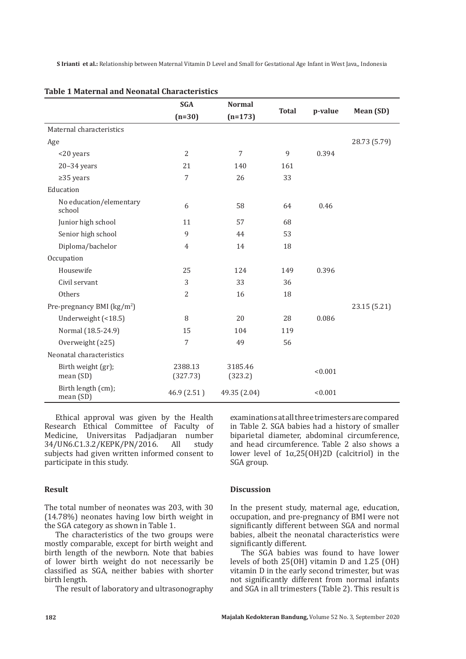**S Irianti et al.:** Relationship between Maternal Vitamin D Level and Small for Gestational Age Infant in West Java,, Indonesia

|                                        | <b>SGA</b>          | <b>Normal</b>      | <b>Total</b> | p-value | Mean (SD)    |
|----------------------------------------|---------------------|--------------------|--------------|---------|--------------|
|                                        | $(n=30)$            | $(n=173)$          |              |         |              |
| Maternal characteristics               |                     |                    |              |         |              |
| Age                                    |                     |                    |              |         | 28.73 (5.79) |
| <20 years                              | $\overline{2}$      | $\overline{7}$     | 9            | 0.394   |              |
| $20-34$ years                          | 21                  | 140                | 161          |         |              |
| $\geq$ 35 years                        | 7                   | 26                 | 33           |         |              |
| Education                              |                     |                    |              |         |              |
| No education/elementary<br>school      | 6                   | 58                 | 64           | 0.46    |              |
| Junior high school                     | 11                  | 57                 | 68           |         |              |
| Senior high school                     | 9                   | 44                 | 53           |         |              |
| Diploma/bachelor                       | 4                   | 14                 | 18           |         |              |
| Occupation                             |                     |                    |              |         |              |
| Housewife                              | 25                  | 124                | 149          | 0.396   |              |
| Civil servant                          | 3                   | 33                 | 36           |         |              |
| Others                                 | 2                   | 16                 | 18           |         |              |
| Pre-pregnancy BMI (kg/m <sup>2</sup> ) |                     |                    |              |         | 23.15 (5.21) |
| Underweight (<18.5)                    | 8                   | 20                 | 28           | 0.086   |              |
| Normal (18.5-24.9)                     | 15                  | 104                | 119          |         |              |
| Overweight $(225)$                     | 7                   | 49                 | 56           |         |              |
| Neonatal characteristics               |                     |                    |              |         |              |
| Birth weight (gr);<br>mean (SD)        | 2388.13<br>(327.73) | 3185.46<br>(323.2) |              | < 0.001 |              |
| Birth length (cm);<br>mean (SD)        | 46.9 (2.51)         | 49.35 (2.04)       |              | < 0.001 |              |

### **Table 1 Maternal and Neonatal Characteristics**

Ethical approval was given by the Health Research Ethical Committee of Faculty of Medicine, Universitas Padjadjaran number<br>34/UN6.C1.3.2/KEPK/PN/2016. All study 34/UN6.C1.3.2/KEPK/PN/2016. subjects had given written informed consent to participate in this study.

#### **Result**

The total number of neonates was 203, with 30 (14.78%) neonates having low birth weight in the SGA category as shown in Table 1.

The characteristics of the two groups were mostly comparable, except for birth weight and birth length of the newborn. Note that babies of lower birth weight do not necessarily be classified as SGA, neither babies with shorter birth length.

The result of laboratory and ultrasonography

examinations at all three trimesters are compared in Table 2. SGA babies had a history of smaller biparietal diameter, abdominal circumference, and head circumference. Table 2 also shows a lower level of 1α,25(OH)2D (calcitriol) in the SGA group.

#### **Discussion**

In the present study, maternal age, education, occupation, and pre-pregnancy of BMI were not significantly different between SGA and normal babies, albeit the neonatal characteristics were significantly different.

The SGA babies was found to have lower levels of both 25(OH) vitamin D and 1.25 (OH) vitamin D in the early second trimester, but was not significantly different from normal infants and SGA in all trimesters (Table 2). This result is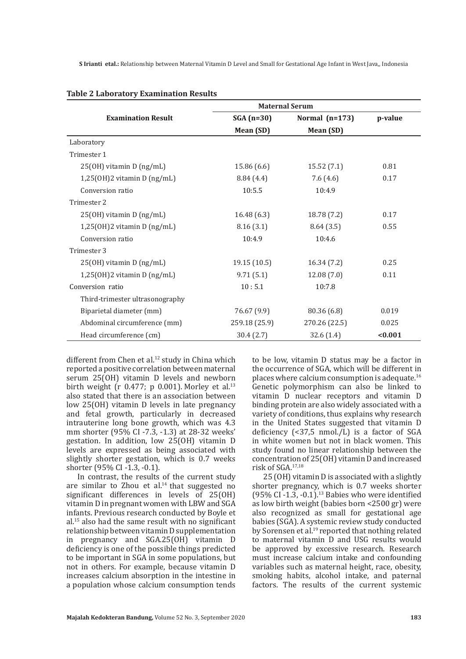**S Irianti etal.:** Relationship between Maternal Vitamin D Level and Small for Gestational Age Infant in West Java,, Indonesia

|                                   | <b>Maternal Serum</b> |                  |         |
|-----------------------------------|-----------------------|------------------|---------|
| <b>Examination Result</b>         | $SGA(n=30)$           | Normal $(n=173)$ | p-value |
|                                   | Mean (SD)             | Mean (SD)        |         |
| Laboratory                        |                       |                  |         |
| Trimester 1                       |                       |                  |         |
| 25(OH) vitamin D (ng/mL)          | 15.86 (6.6)           | 15.52(7.1)       | 0.81    |
| $1,25$ (OH) $2$ vitamin D (ng/mL) | 8.84(4.4)             | 7.6(4.6)         | 0.17    |
| Conversion ratio                  | 10:5.5                | 10:4.9           |         |
| Trimester 2                       |                       |                  |         |
| 25(OH) vitamin D (ng/mL)          | 16.48(6.3)            | 18.78 (7.2)      | 0.17    |
| $1,25$ (OH)2 vitamin D (ng/mL)    | 8.16(3.1)             | 8.64(3.5)        | 0.55    |
| Conversion ratio                  | 10:4.9                | 10:4.6           |         |
| Trimester 3                       |                       |                  |         |
| 25(OH) vitamin D (ng/mL)          | 19.15 (10.5)          | 16.34(7.2)       | 0.25    |
| $1,25$ (OH) $2$ vitamin D (ng/mL) | 9.71(5.1)             | 12.08(7.0)       | 0.11    |
| Conversion ratio                  | 10:5.1                | 10:7.8           |         |
| Third-trimester ultrasonography   |                       |                  |         |
| Biparietal diameter (mm)          | 76.67 (9.9)           | 80.36 (6.8)      | 0.019   |
| Abdominal circumference (mm)      | 259.18 (25.9)         | 270.26 (22.5)    | 0.025   |
| Head circumference (cm)           | 30.4(2.7)             | 32.6(1.4)        | < 0.001 |

#### **Table 2 Laboratory Examination Results**

different from Chen et al.<sup>12</sup> study in China which reported a positive correlation between maternal serum 25(OH) vitamin D levels and newborn birth weight (r  $0.477$ ; p  $0.001$ ). Morley et al.<sup>13</sup> also stated that there is an association between low 25(OH) vitamin D levels in late pregnancy and fetal growth, particularly in decreased intrauterine long bone growth, which was 4.3 mm shorter (95% CI -7.3, -1.3) at 28-32 weeks' gestation. In addition, low 25(OH) vitamin D levels are expressed as being associated with slightly shorter gestation, which is 0.7 weeks shorter (95% CI -1.3, -0.1).

In contrast, the results of the current study are similar to Zhou et al. $14$  that suggested no significant differences in levels of 25(OH) vitamin D in pregnant women with LBW and SGA infants. Previous research conducted by Boyle et al.15 also had the same result with no significant relationship between vitamin D supplementation in pregnancy and SGA.25(OH) vitamin D deficiency is one of the possible things predicted to be important in SGA in some populations, but not in others. For example, because vitamin D increases calcium absorption in the intestine in a population whose calcium consumption tends

to be low, vitamin D status may be a factor in the occurrence of SGA, which will be different in places where calcium consumption is adequate.16 Genetic polymorphism can also be linked to vitamin D nuclear receptors and vitamin D binding protein are also widely associated with a variety of conditions, thus explains why research in the United States suggested that vitamin D deficiency (<37,5 nmol./L) is a factor of SGA in white women but not in black women. This study found no linear relationship between the concentration of 25(OH) vitamin D and increased risk of SGA.17,18

25 (OH) vitamin D is associated with a slightly shorter pregnancy, which is 0.7 weeks shorter (95% CI $-1.3$ ,  $-0.1$ ).<sup>13</sup> Babies who were identified as low birth weight (babies born <2500 gr) were also recognized as small for gestational age babies (SGA). A systemic review study conducted by Sorensen et al.<sup>19</sup> reported that nothing related to maternal vitamin D and USG results would be approved by excessive research. Research must increase calcium intake and confounding variables such as maternal height, race, obesity, smoking habits, alcohol intake, and paternal factors. The results of the current systemic